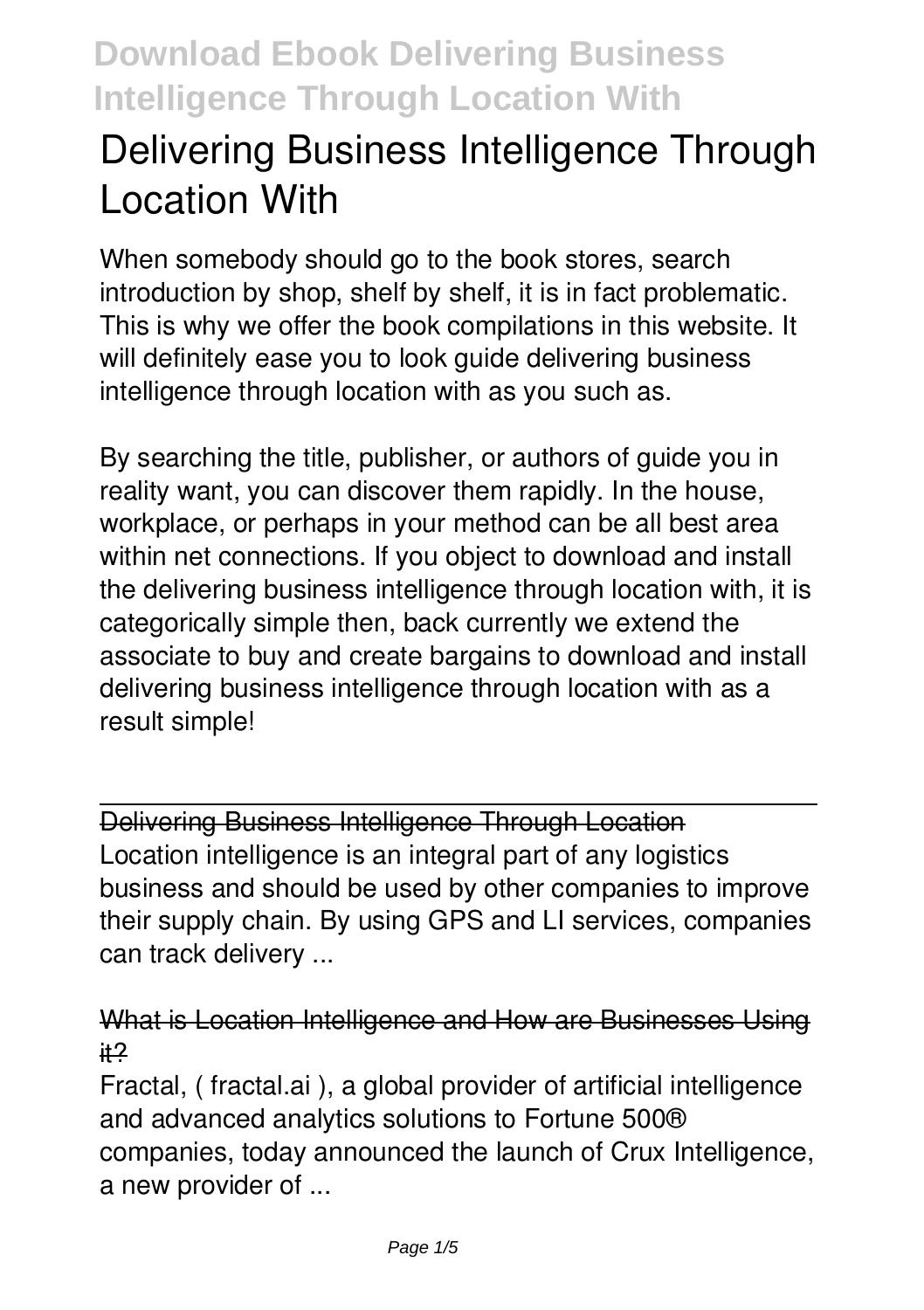# **Delivering Business Intelligence Through Location With**

When somebody should go to the book stores, search introduction by shop, shelf by shelf, it is in fact problematic. This is why we offer the book compilations in this website. It will definitely ease you to look guide **delivering business intelligence through location with** as you such as.

By searching the title, publisher, or authors of guide you in reality want, you can discover them rapidly. In the house, workplace, or perhaps in your method can be all best area within net connections. If you object to download and install the delivering business intelligence through location with, it is categorically simple then, back currently we extend the associate to buy and create bargains to download and install delivering business intelligence through location with as a result simple!

Delivering Business Intelligence Through Location Location intelligence is an integral part of any logistics business and should be used by other companies to improve their supply chain. By using GPS and LI services, companies can track delivery ...

#### What is Location Intelligence and How are Businesses Using it?

Fractal, ( fractal.ai ), a global provider of artificial intelligence and advanced analytics solutions to Fortune 500® companies, today announced the launch of Crux Intelligence, a new provider of ...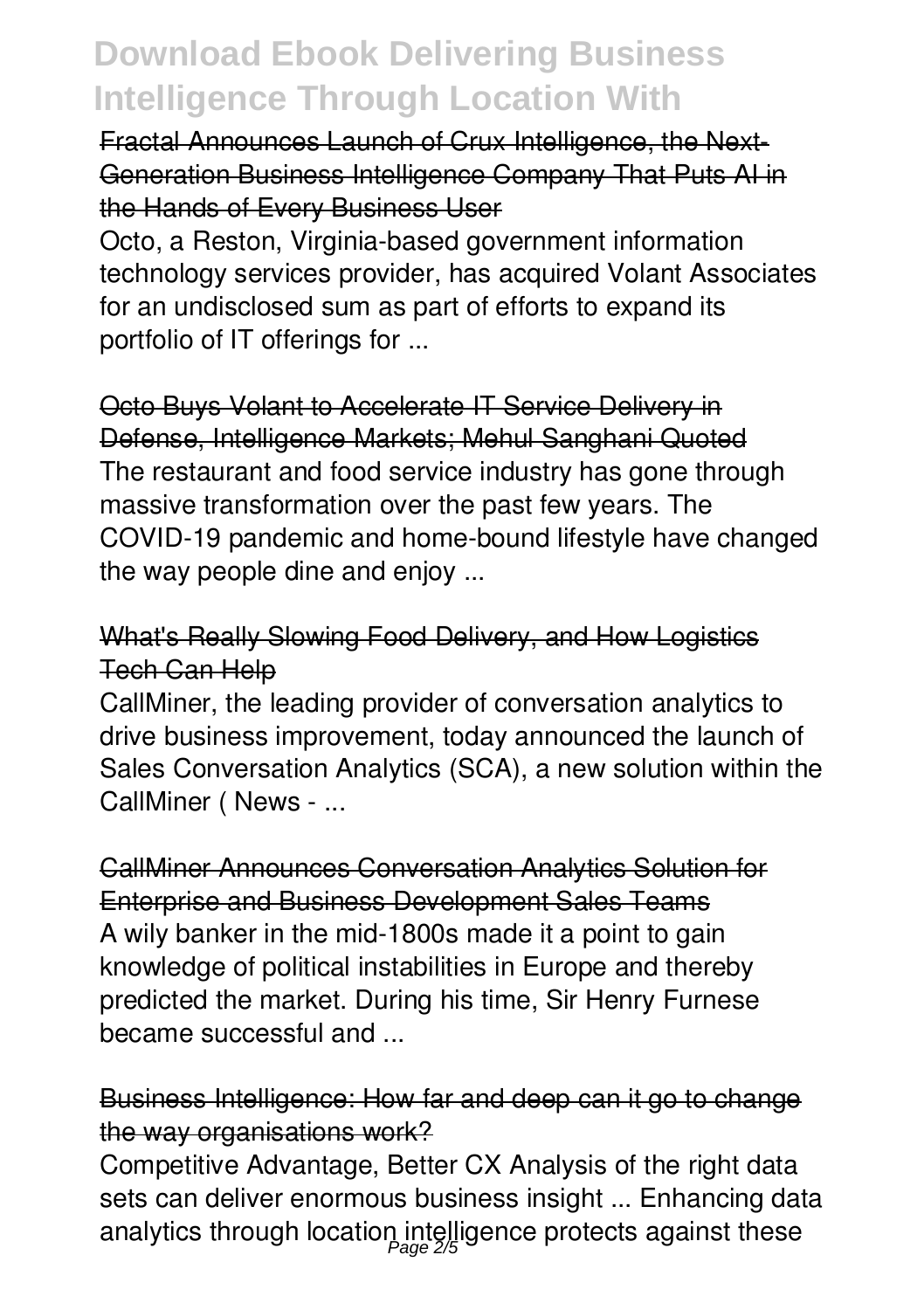Fractal Announces Launch of Crux Intelligence, the Next-Generation Business Intelligence Company That Puts AI in the Hands of Every Business User

Octo, a Reston, Virginia-based government information technology services provider, has acquired Volant Associates for an undisclosed sum as part of efforts to expand its portfolio of IT offerings for ...

Octo Buys Volant to Accelerate IT Service Delivery in Defense, Intelligence Markets; Mehul Sanghani Quoted The restaurant and food service industry has gone through massive transformation over the past few years. The COVID-19 pandemic and home-bound lifestyle have changed the way people dine and enjoy ...

### What's Really Slowing Food Delivery, and How Logistics Tech Can Help

CallMiner, the leading provider of conversation analytics to drive business improvement, today announced the launch of Sales Conversation Analytics (SCA), a new solution within the CallMiner ( News - ...

CallMiner Announces Conversation Analytics Solution for Enterprise and Business Development Sales Teams A wily banker in the mid-1800s made it a point to gain knowledge of political instabilities in Europe and thereby predicted the market. During his time, Sir Henry Furnese became successful and ...

## Business Intelligence: How far and deep can it go to change the way organisations work?

Competitive Advantage, Better CX Analysis of the right data sets can deliver enormous business insight ... Enhancing data analytics through location intelligence protects against these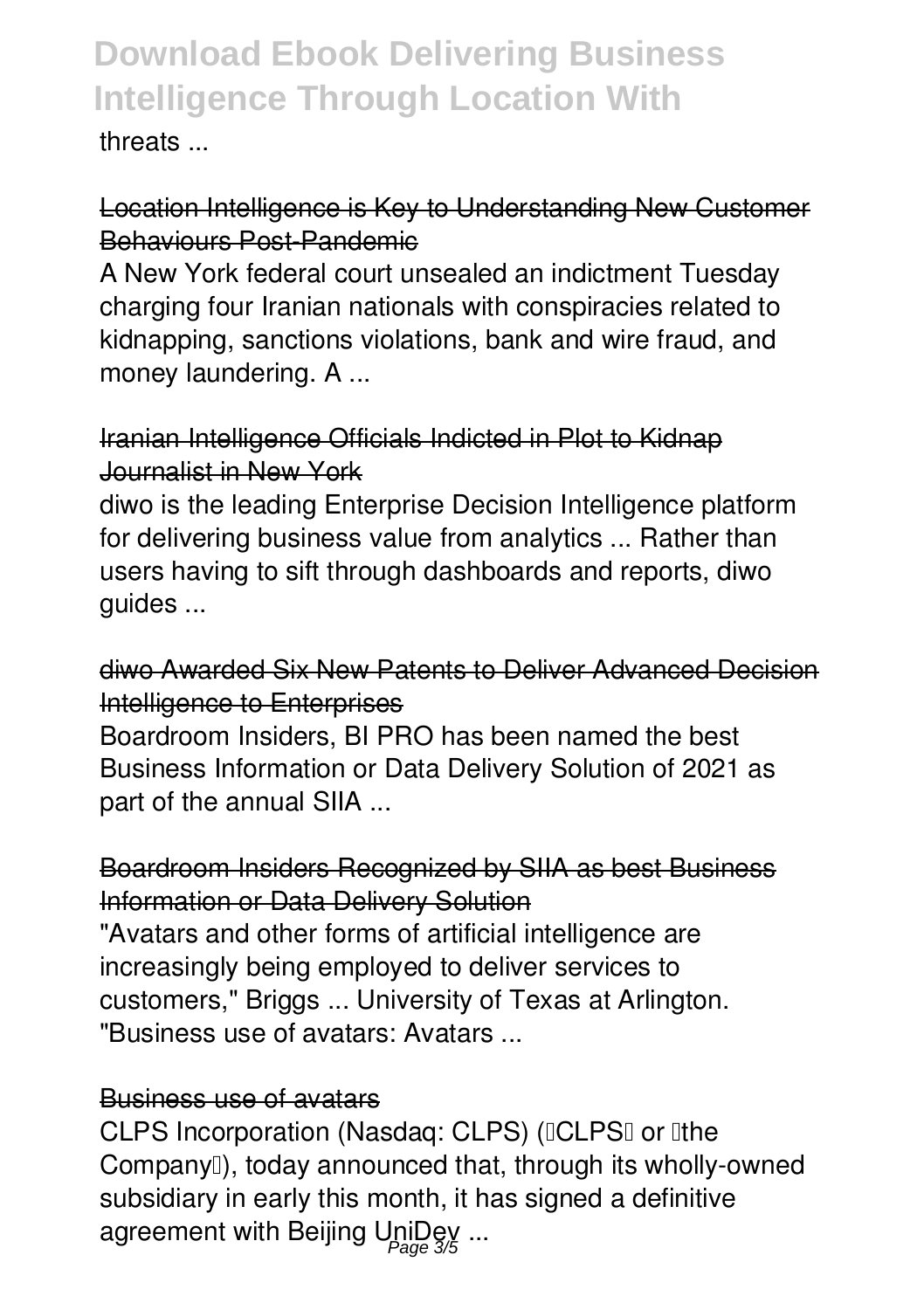threats ...

## Location Intelligence is Key to Understanding New Customer Behaviours Post-Pandemic

A New York federal court unsealed an indictment Tuesday charging four Iranian nationals with conspiracies related to kidnapping, sanctions violations, bank and wire fraud, and money laundering. A ...

## Iranian Intelligence Officials Indicted in Plot to Kidnap Journalist in New York

diwo is the leading Enterprise Decision Intelligence platform for delivering business value from analytics ... Rather than users having to sift through dashboards and reports, diwo guides ...

### diwo Awarded Six New Patents to Deliver Advanced Decision Intelligence to Enterprises

Boardroom Insiders, BI PRO has been named the best Business Information or Data Delivery Solution of 2021 as part of the annual SIIA ...

# Boardroom Insiders Recognized by SIIA as best Business Information or Data Delivery Solution

"Avatars and other forms of artificial intelligence are increasingly being employed to deliver services to customers," Briggs ... University of Texas at Arlington. "Business use of avatars: Avatars ...

### Business use of avatars

CLPS Incorporation (Nasdaq: CLPS) (ICLPSI or Ithe Company<sup>[]</sup>), today announced that, through its wholly-owned subsidiary in early this month, it has signed a definitive agreement with Beijing UniDey ...<br><sub>Page 3</sub>/5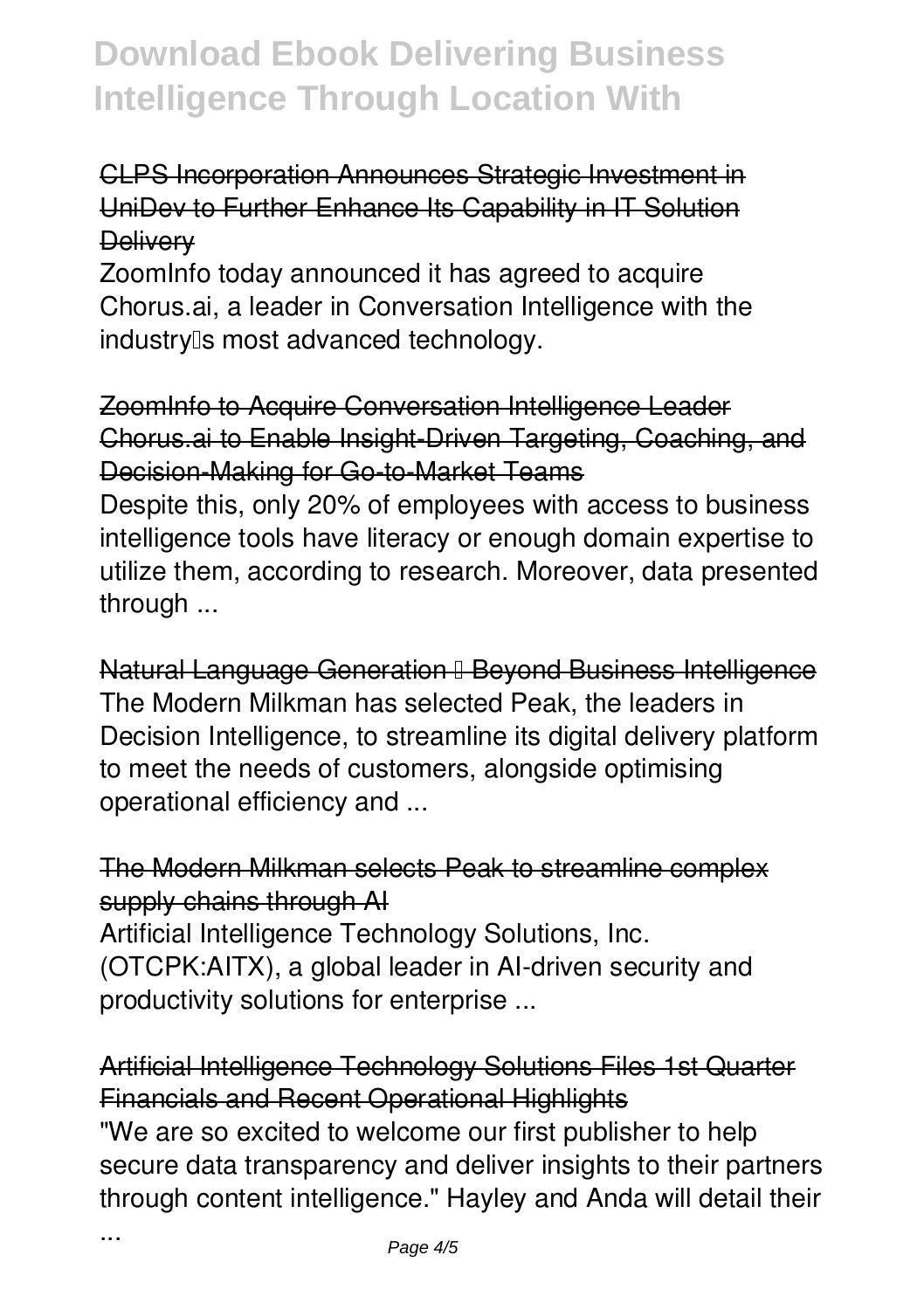## CLPS Incorporation Announces Strategic Investment in UniDev to Further Enhance Its Capability in IT Solution **Delivery**

ZoomInfo today announced it has agreed to acquire Chorus.ai, a leader in Conversation Intelligence with the industry<sup>[]</sup>s most advanced technology.

## ZoomInfo to Acquire Conversation Intelligence Leader Chorus.ai to Enable Insight-Driven Targeting, Coaching, and Decision-Making for Go-to-Market Teams

Despite this, only 20% of employees with access to business intelligence tools have literacy or enough domain expertise to utilize them, according to research. Moreover, data presented through ...

Natural Language Generation II Beyond Business Intelligence The Modern Milkman has selected Peak, the leaders in Decision Intelligence, to streamline its digital delivery platform to meet the needs of customers, alongside optimising operational efficiency and ...

# The Modern Milkman selects Peak to streamline complex supply chains through AI

Artificial Intelligence Technology Solutions, Inc. (OTCPK:AITX), a global leader in AI-driven security and productivity solutions for enterprise ...

## Artificial Intelligence Technology Solutions Files 1st Quarter Financials and Recent Operational Highlights

"We are so excited to welcome our first publisher to help secure data transparency and deliver insights to their partners through content intelligence." Hayley and Anda will detail their